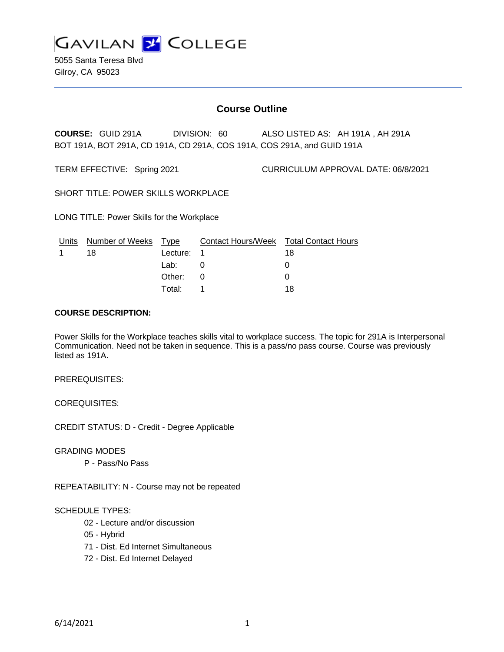

5055 Santa Teresa Blvd Gilroy, CA 95023

# **Course Outline**

**COURSE:** GUID 291A DIVISION: 60 ALSO LISTED AS: AH 191A , AH 291A BOT 191A, BOT 291A, CD 191A, CD 291A, COS 191A, COS 291A, and GUID 191A

TERM EFFECTIVE: Spring 2021 CURRICULUM APPROVAL DATE: 06/8/2021

SHORT TITLE: POWER SKILLS WORKPLACE

LONG TITLE: Power Skills for the Workplace

| Units | Number of Weeks Type |            | Contact Hours/Week Total Contact Hours |    |
|-------|----------------------|------------|----------------------------------------|----|
|       | 18                   | Lecture: 1 |                                        | 18 |
|       |                      | Lab:       |                                        |    |
|       |                      | Other: 0   |                                        |    |
|       |                      | Total:     |                                        | 18 |

#### **COURSE DESCRIPTION:**

Power Skills for the Workplace teaches skills vital to workplace success. The topic for 291A is Interpersonal Communication. Need not be taken in sequence. This is a pass/no pass course. Course was previously listed as 191A.

#### PREREQUISITES:

COREQUISITES:

CREDIT STATUS: D - Credit - Degree Applicable

GRADING MODES

P - Pass/No Pass

REPEATABILITY: N - Course may not be repeated

## SCHEDULE TYPES:

- 02 Lecture and/or discussion
- 05 Hybrid
- 71 Dist. Ed Internet Simultaneous
- 72 Dist. Ed Internet Delayed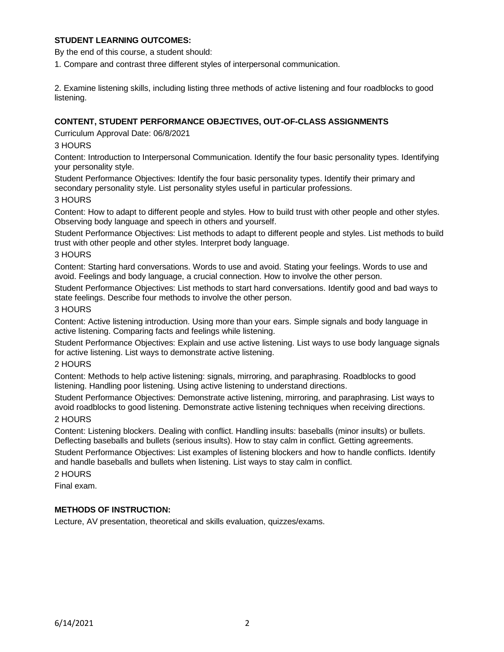## **STUDENT LEARNING OUTCOMES:**

By the end of this course, a student should:

1. Compare and contrast three different styles of interpersonal communication.

2. Examine listening skills, including listing three methods of active listening and four roadblocks to good listening.

## **CONTENT, STUDENT PERFORMANCE OBJECTIVES, OUT-OF-CLASS ASSIGNMENTS**

Curriculum Approval Date: 06/8/2021

## 3 HOURS

Content: Introduction to Interpersonal Communication. Identify the four basic personality types. Identifying your personality style.

Student Performance Objectives: Identify the four basic personality types. Identify their primary and secondary personality style. List personality styles useful in particular professions.

## 3 HOURS

Content: How to adapt to different people and styles. How to build trust with other people and other styles. Observing body language and speech in others and yourself.

Student Performance Objectives: List methods to adapt to different people and styles. List methods to build trust with other people and other styles. Interpret body language.

## 3 HOURS

Content: Starting hard conversations. Words to use and avoid. Stating your feelings. Words to use and avoid. Feelings and body language, a crucial connection. How to involve the other person.

Student Performance Objectives: List methods to start hard conversations. Identify good and bad ways to state feelings. Describe four methods to involve the other person.

## 3 HOURS

Content: Active listening introduction. Using more than your ears. Simple signals and body language in active listening. Comparing facts and feelings while listening.

Student Performance Objectives: Explain and use active listening. List ways to use body language signals for active listening. List ways to demonstrate active listening.

## 2 HOURS

Content: Methods to help active listening: signals, mirroring, and paraphrasing. Roadblocks to good listening. Handling poor listening. Using active listening to understand directions.

Student Performance Objectives: Demonstrate active listening, mirroring, and paraphrasing. List ways to avoid roadblocks to good listening. Demonstrate active listening techniques when receiving directions. 2 HOURS

Content: Listening blockers. Dealing with conflict. Handling insults: baseballs (minor insults) or bullets. Deflecting baseballs and bullets (serious insults). How to stay calm in conflict. Getting agreements.

Student Performance Objectives: List examples of listening blockers and how to handle conflicts. Identify and handle baseballs and bullets when listening. List ways to stay calm in conflict.

2 HOURS

Final exam.

## **METHODS OF INSTRUCTION:**

Lecture, AV presentation, theoretical and skills evaluation, quizzes/exams.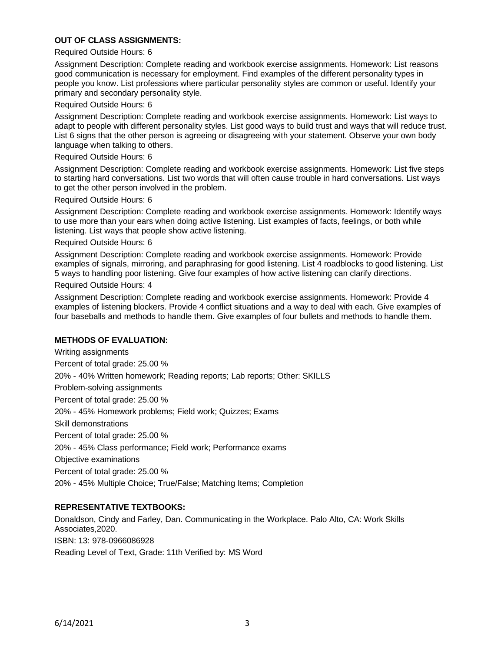## **OUT OF CLASS ASSIGNMENTS:**

#### Required Outside Hours: 6

Assignment Description: Complete reading and workbook exercise assignments. Homework: List reasons good communication is necessary for employment. Find examples of the different personality types in people you know. List professions where particular personality styles are common or useful. Identify your primary and secondary personality style.

#### Required Outside Hours: 6

Assignment Description: Complete reading and workbook exercise assignments. Homework: List ways to adapt to people with different personality styles. List good ways to build trust and ways that will reduce trust. List 6 signs that the other person is agreeing or disagreeing with your statement. Observe your own body language when talking to others.

#### Required Outside Hours: 6

Assignment Description: Complete reading and workbook exercise assignments. Homework: List five steps to starting hard conversations. List two words that will often cause trouble in hard conversations. List ways to get the other person involved in the problem.

#### Required Outside Hours: 6

Assignment Description: Complete reading and workbook exercise assignments. Homework: Identify ways to use more than your ears when doing active listening. List examples of facts, feelings, or both while listening. List ways that people show active listening.

#### Required Outside Hours: 6

Assignment Description: Complete reading and workbook exercise assignments. Homework: Provide examples of signals, mirroring, and paraphrasing for good listening. List 4 roadblocks to good listening. List 5 ways to handling poor listening. Give four examples of how active listening can clarify directions.

#### Required Outside Hours: 4

Assignment Description: Complete reading and workbook exercise assignments. Homework: Provide 4 examples of listening blockers. Provide 4 conflict situations and a way to deal with each. Give examples of four baseballs and methods to handle them. Give examples of four bullets and methods to handle them.

#### **METHODS OF EVALUATION:**

Writing assignments Percent of total grade: 25.00 % 20% - 40% Written homework; Reading reports; Lab reports; Other: SKILLS Problem-solving assignments Percent of total grade: 25.00 % 20% - 45% Homework problems; Field work; Quizzes; Exams Skill demonstrations Percent of total grade: 25.00 % 20% - 45% Class performance; Field work; Performance exams Objective examinations Percent of total grade: 25.00 % 20% - 45% Multiple Choice; True/False; Matching Items; Completion

## **REPRESENTATIVE TEXTBOOKS:**

Donaldson, Cindy and Farley, Dan. Communicating in the Workplace. Palo Alto, CA: Work Skills Associates,2020. ISBN: 13: 978-0966086928 Reading Level of Text, Grade: 11th Verified by: MS Word